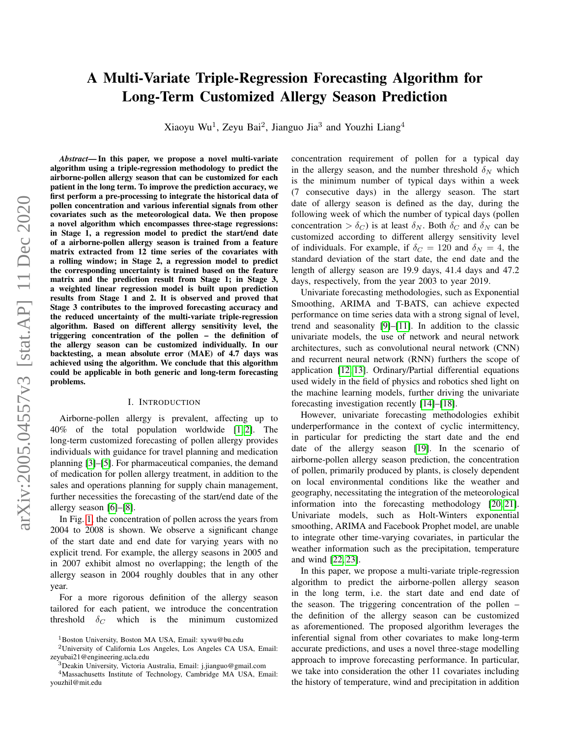# A Multi-Variate Triple-Regression Forecasting Algorithm for Long-Term Customized Allergy Season Prediction

Xiaoyu Wu<sup>1</sup>, Zeyu Bai<sup>2</sup>, Jianguo Jia<sup>3</sup> and Youzhi Liang<sup>4</sup>

*Abstract*— In this paper, we propose a novel multi-variate algorithm using a triple-regression methodology to predict the airborne-pollen allergy season that can be customized for each patient in the long term. To improve the prediction accuracy, we first perform a pre-processing to integrate the historical data of pollen concentration and various inferential signals from other covariates such as the meteorological data. We then propose a novel algorithm which encompasses three-stage regressions: in Stage 1, a regression model to predict the start/end date of a airborne-pollen allergy season is trained from a feature matrix extracted from 12 time series of the covariates with a rolling window; in Stage 2, a regression model to predict the corresponding uncertainty is trained based on the feature matrix and the prediction result from Stage 1; in Stage 3, a weighted linear regression model is built upon prediction results from Stage 1 and 2. It is observed and proved that Stage 3 contributes to the improved forecasting accuracy and the reduced uncertainty of the multi-variate triple-regression algorithm. Based on different allergy sensitivity level, the triggering concentration of the pollen – the definition of the allergy season can be customized individually. In our backtesting, a mean absolute error (MAE) of 4.7 days was achieved using the algorithm. We conclude that this algorithm could be applicable in both generic and long-term forecasting problems.

## I. INTRODUCTION

Airborne-pollen allergy is prevalent, affecting up to 40% of the total population worldwide [\[1,](#page-3-0) [2\]](#page-3-1). The long-term customized forecasting of pollen allergy provides individuals with guidance for travel planning and medication planning [\[3\]](#page-3-2)–[\[5\]](#page-3-3). For pharmaceutical companies, the demand of medication for pollen allergy treatment, in addition to the sales and operations planning for supply chain management, further necessities the forecasting of the start/end date of the allergy season [\[6\]](#page-3-4)–[\[8\]](#page-3-5).

In Fig. [1,](#page-1-0) the concentration of pollen across the years from 2004 to 2008 is shown. We observe a significant change of the start date and end date for varying years with no explicit trend. For example, the allergy seasons in 2005 and in 2007 exhibit almost no overlapping; the length of the allergy season in 2004 roughly doubles that in any other year.

For a more rigorous definition of the allergy season tailored for each patient, we introduce the concentration threshold  $\delta_C$  which is the minimum customized concentration requirement of pollen for a typical day in the allergy season, and the number threshold  $\delta_N$  which is the minimum number of typical days within a week (7 consecutive days) in the allergy season. The start date of allergy season is defined as the day, during the following week of which the number of typical days (pollen concentration  $> \delta_C$ ) is at least  $\delta_N$ . Both  $\delta_C$  and  $\delta_N$  can be customized according to different allergy sensitivity level of individuals. For example, if  $\delta_C = 120$  and  $\delta_N = 4$ , the standard deviation of the start date, the end date and the length of allergy season are 19.9 days, 41.4 days and 47.2 days, respectively, from the year 2003 to year 2019.

Univariate forecasting methodologies, such as Exponential Smoothing, ARIMA and T-BATS, can achieve expected performance on time series data with a strong signal of level, trend and seasonality [\[9\]](#page-3-6)–[\[11\]](#page-3-7). In addition to the classic univariate models, the use of network and neural network architectures, such as convolutional neural network (CNN) and recurrent neural network (RNN) furthers the scope of application [\[12,](#page-3-8) [13\]](#page-3-9). Ordinary/Partial differential equations used widely in the field of physics and robotics shed light on the machine learning models, further driving the univariate forecasting investigation recently [\[14\]](#page-3-10)–[\[18\]](#page-3-11).

However, univariate forecasting methodologies exhibit underperformance in the context of cyclic intermittency, in particular for predicting the start date and the end date of the allergy season [\[19\]](#page-3-12). In the scenario of airborne-pollen allergy season prediction, the concentration of pollen, primarily produced by plants, is closely dependent on local environmental conditions like the weather and geography, necessitating the integration of the meteorological information into the forecasting methodology [\[20,](#page-3-13) [21\]](#page-3-14). Univariate models, such as Holt-Winters exponential smoothing, ARIMA and Facebook Prophet model, are unable to integrate other time-varying covariates, in particular the weather information such as the precipitation, temperature and wind [\[22,](#page-3-15) [23\]](#page-3-16).

In this paper, we propose a multi-variate triple-regression algorithm to predict the airborne-pollen allergy season in the long term, i.e. the start date and end date of the season. The triggering concentration of the pollen – the definition of the allergy season can be customized as aforementioned. The proposed algorithm leverages the inferential signal from other covariates to make long-term accurate predictions, and uses a novel three-stage modelling approach to improve forecasting performance. In particular, we take into consideration the other 11 covariates including the history of temperature, wind and precipitation in addition

<sup>&</sup>lt;sup>1</sup>Boston University, Boston MA USA, Email: xywu@bu.edu

<sup>2</sup>University of California Los Angeles, Los Angeles CA USA, Email: zeyubai21@engineering.ucla.edu

<sup>3</sup>Deakin University, Victoria Australia, Email: j.jianguo@gmail.com

<sup>4</sup>Massachusetts Institute of Technology, Cambridge MA USA, Email: youzhil@mit.edu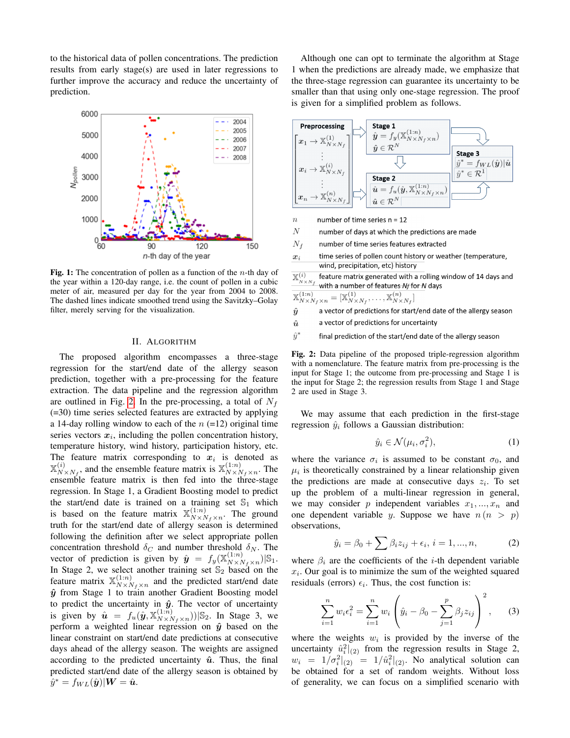to the historical data of pollen concentrations. The prediction results from early stage(s) are used in later regressions to further improve the accuracy and reduce the uncertainty of prediction.

<span id="page-1-0"></span>

Fig. 1: The concentration of pollen as a function of the  $n$ -th day of the year within a 120-day range, i.e. the count of pollen in a cubic meter of air, measured per day for the year from 2004 to 2008. The dashed lines indicate smoothed trend using the Savitzky–Golay filter, merely serving for the visualization.

#### II. ALGORITHM

The proposed algorithm encompasses a three-stage regression for the start/end date of the allergy season prediction, together with a pre-processing for the feature extraction. The data pipeline and the regression algorithm are outlined in Fig. [2.](#page-1-1) In the pre-processing, a total of  $N_f$ (=30) time series selected features are extracted by applying a 14-day rolling window to each of the  $n$  (=12) original time series vectors  $x_i$ , including the pollen concentration history, temperature history, wind history, participation history, etc. The feature matrix corresponding to  $x_i$  is denoted as  $\mathbb{X}_{\mathcal{M}}^{(i)}$  $_{N\times N_f}^{(i)}$ , and the ensemble feature matrix is  $\mathbb{X}_{N\times N_f}^{(1:n)}$  $x_1^{(1:n)}$ <sub>N×Nf</sub> ×n. The ensemble feature matrix is then fed into the three-stage regression. In Stage 1, a Gradient Boosting model to predict the start/end date is trained on a training set  $\mathbb{S}_1$  which is based on the feature matrix  $\mathbb{X}_{N\times N}^{(1:n)}$  $N \times N_f \times n$ . The ground truth for the start/end date of allergy season is determined following the definition after we select appropriate pollen concentration threshold  $\delta_C$  and number threshold  $\delta_N$ . The vector of prediction is given by  $\hat{y} = f_y(\mathbb{X}_{N \times N}^{(1:n)})$  $\binom{(1:n)}{N \times N_f \times n}$ |S<sub>1</sub>. In Stage 2, we select another training set  $\mathbb{S}_2$  based on the feature matrix  $\mathbb{X}_{N\times N}^{(1:n)}$  $N \times N_f \times n$  and the predicted start/end date  $\hat{y}$  from Stage 1 to train another Gradient Boosting model to predict the uncertainty in  $\hat{y}$ . The vector of uncertainty is given by  $\hat{\mathbf{u}} = f_u(\hat{\mathbf{y}}, \mathbb{X}_{N \times N}^{(1:n)})$  $\binom{(1:n)}{N \times N_f \times n}$ )|S<sub>2</sub>. In Stage 3, we perform a weighted linear regression on  $\hat{y}$  based on the linear constraint on start/end date predictions at consecutive days ahead of the allergy season. The weights are assigned according to the predicted uncertainty  $\hat{u}$ . Thus, the final predicted start/end date of the allergy season is obtained by  $\hat{y}^* = f_{WL}(\hat{\boldsymbol{y}})|\boldsymbol{W} = \hat{\boldsymbol{u}}.$ 

Although one can opt to terminate the algorithm at Stage 1 when the predictions are already made, we emphasize that the three-stage regression can guarantee its uncertainty to be smaller than that using only one-stage regression. The proof is given for a simplified problem as follows.

<span id="page-1-1"></span>

- $\overline{n}$ number of time series  $n = 12$
- $\overline{N}$ number of days at which the predictions are made
- $N_f$ number of time series features extracted
- time series of pollen count history or weather (temperature,  $\boldsymbol{x}_i$ wind, precipitation, etc) history

 $\mathbb{X}_{N\times N_f}^{(i)}$ feature matrix generated with a rolling window of 14 days and with a number of features Nf for N days

$$
\mathbb{X}_{N\times N_f\times n}^{(1:n)} = [\mathbb{X}_{N\times N_f}^{(1)}, \dots, \mathbb{X}_{N\times N_f}^{(n)}]
$$

- a vector of predictions for start/end date of the allergy season  $\hat{y}$
- a vector of predictions for uncertainty  $\hat{u}$
- $\hat{y}^*$ final prediction of the start/end date of the allergy season

Fig. 2: Data pipeline of the proposed triple-regression algorithm with a nomenclature. The feature matrix from pre-processing is the input for Stage 1; the outcome from pre-processing and Stage 1 is the input for Stage 2; the regression results from Stage 1 and Stage 2 are used in Stage 3.

We may assume that each prediction in the first-stage regression  $\hat{y}_i$  follows a Gaussian distribution:

$$
\hat{y}_i \in \mathcal{N}(\mu_i, \sigma_i^2),\tag{1}
$$

where the variance  $\sigma_i$  is assumed to be constant  $\sigma_0$ , and  $\mu_i$  is theoretically constrained by a linear relationship given the predictions are made at consecutive days  $z_i$ . To set up the problem of a multi-linear regression in general, we may consider p independent variables  $x_1, ..., x_n$  and one dependent variable y. Suppose we have  $n (n > p)$ observations,

$$
\hat{y}_i = \beta_0 + \sum \beta_i z_{ij} + \epsilon_i, \, i = 1, ..., n,
$$
 (2)

where  $\beta_i$  are the coefficients of the *i*-th dependent variable  $x_i$ . Our goal is to minimize the sum of the weighted squared residuals (errors)  $\epsilon_i$ . Thus, the cost function is:

$$
\sum_{i=1}^{n} w_i \epsilon_i^2 = \sum_{i=1}^{n} w_i \left( \hat{y}_i - \beta_0 - \sum_{j=1}^{p} \beta_j z_{ij} \right)^2, \qquad (3)
$$

where the weights  $w_i$  is provided by the inverse of the uncertainty  $\hat{u}_i^2|_{(2)}$  from the regression results in Stage 2,  $w_i = 1/\sigma_i^2|_{(2)} = 1/\hat{u}_i^2|_{(2)}$ . No analytical solution can be obtained for a set of random weights. Without loss of generality, we can focus on a simplified scenario with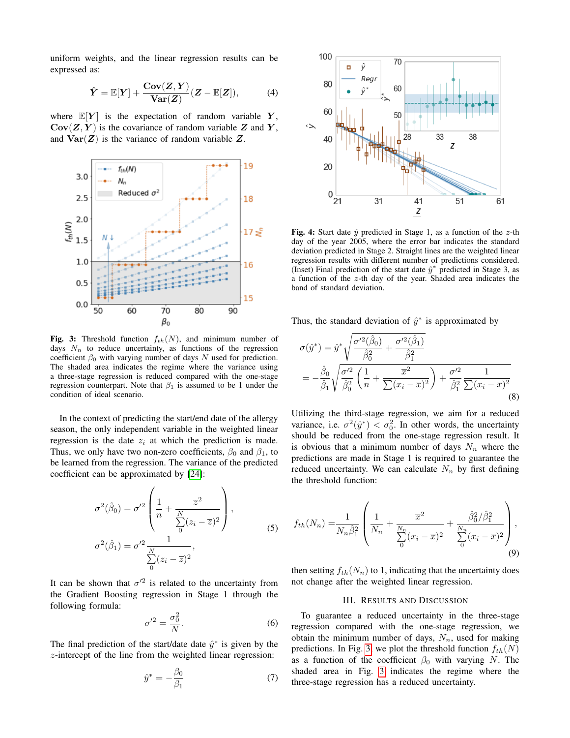uniform weights, and the linear regression results can be expressed as:

$$
\hat{Y} = \mathbb{E}[Y] + \frac{\text{Cov}(Z, Y)}{\text{Var}(Z)}(Z - \mathbb{E}[Z]),\tag{4}
$$

where  $\mathbb{E}[Y]$  is the expectation of random variable Y,  $Cov(Z, Y)$  is the covariance of random variable Z and Y, and  $\text{Var}(Z)$  is the variance of random variable Z.

<span id="page-2-0"></span>

Fig. 3: Threshold function  $f_{th}(N)$ , and minimum number of days  $N_n$  to reduce uncertainty, as functions of the regression coefficient  $\beta_0$  with varying number of days N used for prediction. The shaded area indicates the regime where the variance using a three-stage regression is reduced compared with the one-stage regression counterpart. Note that  $\beta_1$  is assumed to be 1 under the condition of ideal scenario.

In the context of predicting the start/end date of the allergy season, the only independent variable in the weighted linear regression is the date  $z_i$  at which the prediction is made. Thus, we only have two non-zero coefficients,  $\beta_0$  and  $\beta_1$ , to be learned from the regression. The variance of the predicted coefficient can be approximated by [\[24\]](#page-3-17):

$$
\sigma^2(\hat{\beta}_0) = \sigma^2 \left( \frac{1}{n} + \frac{\overline{z}^2}{\sum_{0}^{N} (z_i - \overline{z})^2} \right),
$$
  

$$
\sigma^2(\hat{\beta}_1) = \sigma^2 \frac{1}{\sum_{0}^{N} (z_i - \overline{z})^2},
$$
 (5)

It can be shown that  $\sigma'^2$  is related to the uncertainty from the Gradient Boosting regression in Stage 1 through the following formula:

$$
\sigma'^2 = \frac{\sigma_0^2}{N}.\tag{6}
$$

The final prediction of the start/date date  $\hat{y}^*$  is given by the z-intercept of the line from the weighted linear regression:

$$
\hat{y}^* = -\frac{\beta_0}{\beta_1} \tag{7}
$$

<span id="page-2-1"></span>

Fig. 4: Start date  $\hat{y}$  predicted in Stage 1, as a function of the z-th day of the year 2005, where the error bar indicates the standard deviation predicted in Stage 2. Straight lines are the weighted linear regression results with different number of predictions considered. (Inset) Final prediction of the start date  $\hat{y}^*$  predicted in Stage 3, as a function of the z-th day of the year. Shaded area indicates the band of standard deviation.

Thus, the standard deviation of  $\hat{y}^*$  is approximated by

$$
\sigma(\hat{y}^*) = \hat{y}^* \sqrt{\frac{\sigma'^2(\hat{\beta}_0)}{\hat{\beta}_0^2} + \frac{\sigma'^2(\hat{\beta}_1)}{\hat{\beta}_1^2}}\n= -\frac{\hat{\beta}_0}{\hat{\beta}_1} \sqrt{\frac{\sigma'^2}{\hat{\beta}_0^2} \left(\frac{1}{n} + \frac{\overline{x}^2}{\sum (x_i - \overline{x})^2}\right) + \frac{\sigma'^2}{\hat{\beta}_1^2} \frac{1}{\sum (x_i - \overline{x})^2}\n\tag{8}
$$

Utilizing the third-stage regression, we aim for a reduced variance, i.e.  $\sigma^2(\hat{y}^*) < \sigma_0^2$ . In other words, the uncertainty should be reduced from the one-stage regression result. It is obvious that a minimum number of days  $N_n$  where the predictions are made in Stage 1 is required to guarantee the reduced uncertainty. We can calculate  $N_n$  by first defining the threshold function:

$$
f_{th}(N_n) = \frac{1}{N_n \hat{\beta}_1^2} \left( \frac{1}{N_n} + \frac{\overline{x}^2}{\sum_{0}^{N_n} (x_i - \overline{x})^2} + \frac{\hat{\beta}_0^2 / \hat{\beta}_1^2}{\sum_{0}^{N_n} (x_i - \overline{x})^2} \right),\tag{9}
$$

then setting  $f_{th}(N_n)$  to 1, indicating that the uncertainty does not change after the weighted linear regression.

## III. RESULTS AND DISCUSSION

To guarantee a reduced uncertainty in the three-stage regression compared with the one-stage regression, we obtain the minimum number of days,  $N_n$ , used for making predictions. In Fig. [3,](#page-2-0) we plot the threshold function  $f_{th}(N)$ as a function of the coefficient  $\beta_0$  with varying N. The shaded area in Fig. [3](#page-2-0) indicates the regime where the three-stage regression has a reduced uncertainty.